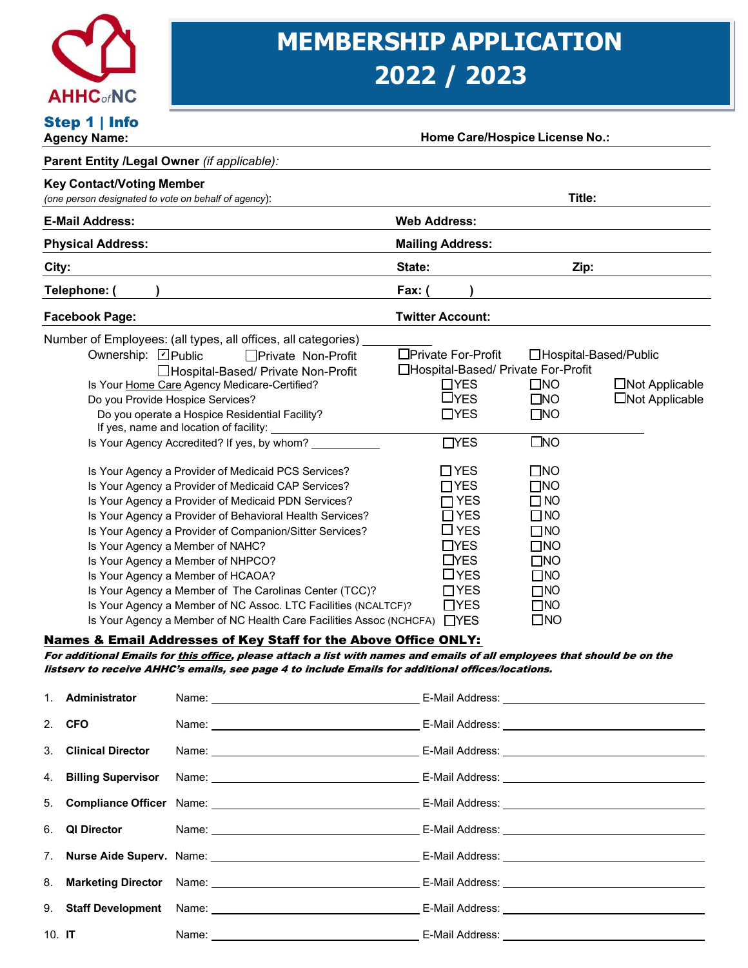

# **MEMBERSHIP APPLICATION 2022 / 2023**

| Step 1   Info<br><b>Agency Name:</b>                                                                                                                                  |                                        |                                                                                                                                                                                                                                                                                                                                                                                                                                                                                                                                                                                                                                                                                                                                                                                                                                                                                                                                                                                                                                    |                         |                                                                                                                                                                                                                          | <b>Home Care/Hospice License No.:</b>                                                                                                                                                                                                                                                                      |                                          |
|-----------------------------------------------------------------------------------------------------------------------------------------------------------------------|----------------------------------------|------------------------------------------------------------------------------------------------------------------------------------------------------------------------------------------------------------------------------------------------------------------------------------------------------------------------------------------------------------------------------------------------------------------------------------------------------------------------------------------------------------------------------------------------------------------------------------------------------------------------------------------------------------------------------------------------------------------------------------------------------------------------------------------------------------------------------------------------------------------------------------------------------------------------------------------------------------------------------------------------------------------------------------|-------------------------|--------------------------------------------------------------------------------------------------------------------------------------------------------------------------------------------------------------------------|------------------------------------------------------------------------------------------------------------------------------------------------------------------------------------------------------------------------------------------------------------------------------------------------------------|------------------------------------------|
| Parent Entity /Legal Owner (if applicable):                                                                                                                           |                                        |                                                                                                                                                                                                                                                                                                                                                                                                                                                                                                                                                                                                                                                                                                                                                                                                                                                                                                                                                                                                                                    |                         |                                                                                                                                                                                                                          |                                                                                                                                                                                                                                                                                                            |                                          |
| <b>Key Contact/Voting Member</b>                                                                                                                                      |                                        |                                                                                                                                                                                                                                                                                                                                                                                                                                                                                                                                                                                                                                                                                                                                                                                                                                                                                                                                                                                                                                    |                         |                                                                                                                                                                                                                          |                                                                                                                                                                                                                                                                                                            |                                          |
| (one person designated to vote on behalf of agency):                                                                                                                  |                                        |                                                                                                                                                                                                                                                                                                                                                                                                                                                                                                                                                                                                                                                                                                                                                                                                                                                                                                                                                                                                                                    |                         |                                                                                                                                                                                                                          | Title:                                                                                                                                                                                                                                                                                                     |                                          |
| <b>E-Mail Address:</b>                                                                                                                                                |                                        |                                                                                                                                                                                                                                                                                                                                                                                                                                                                                                                                                                                                                                                                                                                                                                                                                                                                                                                                                                                                                                    | <b>Web Address:</b>     |                                                                                                                                                                                                                          |                                                                                                                                                                                                                                                                                                            |                                          |
| <b>Physical Address:</b>                                                                                                                                              |                                        |                                                                                                                                                                                                                                                                                                                                                                                                                                                                                                                                                                                                                                                                                                                                                                                                                                                                                                                                                                                                                                    | <b>Mailing Address:</b> |                                                                                                                                                                                                                          |                                                                                                                                                                                                                                                                                                            |                                          |
| City:                                                                                                                                                                 |                                        |                                                                                                                                                                                                                                                                                                                                                                                                                                                                                                                                                                                                                                                                                                                                                                                                                                                                                                                                                                                                                                    | State:                  |                                                                                                                                                                                                                          | Zip:                                                                                                                                                                                                                                                                                                       |                                          |
| Telephone: (                                                                                                                                                          |                                        |                                                                                                                                                                                                                                                                                                                                                                                                                                                                                                                                                                                                                                                                                                                                                                                                                                                                                                                                                                                                                                    | Fax: (                  |                                                                                                                                                                                                                          |                                                                                                                                                                                                                                                                                                            |                                          |
| <b>Facebook Page:</b>                                                                                                                                                 |                                        |                                                                                                                                                                                                                                                                                                                                                                                                                                                                                                                                                                                                                                                                                                                                                                                                                                                                                                                                                                                                                                    | <b>Twitter Account:</b> |                                                                                                                                                                                                                          |                                                                                                                                                                                                                                                                                                            |                                          |
|                                                                                                                                                                       |                                        | Number of Employees: (all types, all offices, all categories)                                                                                                                                                                                                                                                                                                                                                                                                                                                                                                                                                                                                                                                                                                                                                                                                                                                                                                                                                                      |                         |                                                                                                                                                                                                                          |                                                                                                                                                                                                                                                                                                            |                                          |
| Ownership: Ø Public<br>Do you Provide Hospice Services?<br>Is Your Agency a Member of NAHC?<br>Is Your Agency a Member of NHPCO?<br>Is Your Agency a Member of HCAOA? | If yes, name and location of facility: | □ Private Non-Profit<br>□Hospital-Based/ Private Non-Profit<br>Is Your Home Care Agency Medicare-Certified?<br>Do you operate a Hospice Residential Facility?<br>Is Your Agency Accredited? If yes, by whom?<br>Is Your Agency a Provider of Medicaid PCS Services?<br>Is Your Agency a Provider of Medicaid CAP Services?<br>Is Your Agency a Provider of Medicaid PDN Services?<br>Is Your Agency a Provider of Behavioral Health Services?<br>Is Your Agency a Provider of Companion/Sitter Services?<br>Is Your Agency a Member of The Carolinas Center (TCC)?<br>Is Your Agency a Member of NC Assoc. LTC Facilities (NCALTCF)?<br>Is Your Agency a Member of NC Health Care Facilities Assoc (NCHCFA)<br><u>Names &amp; Email Addresses of Key Staff for the Above Office ONLY:</u><br>For additional Emails for <u>this office</u> , please attach a list with names and emails of all employees that should be on the<br>listserv to receive AHHC's emails, see page 4 to include Emails for additional offices/locations. | □Private For-Profit     | $\Box$ YES<br>$\square$ YES<br>$\Box$ YES<br><b>TYES</b><br>$\square$ YES<br>$\Box$ YES<br>$\Box$ YES<br>$\Box$ YES<br>$\square$ YES<br>$\Box$ YES<br>$\Box$ YES<br>$\Box$ YES<br>$\Box$ YES<br>$\Box$ YES<br>$\Box$ YES | □Hospital-Based/Public<br>□Hospital-Based/ Private For-Profit<br>$\square$ NO<br>$\square$ NO<br>$\square$ NO<br>$\square$ NO<br>$\square$ NO<br>$\square$ NO<br>$\square$ NO<br>$\square$ NO<br>$\Box$ NO<br>$\square$ NO<br>$\square$ NO<br>$\square$ NO<br>$\square$ NO<br>$\square$ NO<br>$\square$ NO | □Not Applicable<br>$\Box$ Not Applicable |
| Administrator<br>1.                                                                                                                                                   |                                        |                                                                                                                                                                                                                                                                                                                                                                                                                                                                                                                                                                                                                                                                                                                                                                                                                                                                                                                                                                                                                                    |                         |                                                                                                                                                                                                                          |                                                                                                                                                                                                                                                                                                            |                                          |
|                                                                                                                                                                       |                                        |                                                                                                                                                                                                                                                                                                                                                                                                                                                                                                                                                                                                                                                                                                                                                                                                                                                                                                                                                                                                                                    |                         |                                                                                                                                                                                                                          |                                                                                                                                                                                                                                                                                                            |                                          |
| <b>CFO</b><br>2.                                                                                                                                                      |                                        |                                                                                                                                                                                                                                                                                                                                                                                                                                                                                                                                                                                                                                                                                                                                                                                                                                                                                                                                                                                                                                    |                         |                                                                                                                                                                                                                          |                                                                                                                                                                                                                                                                                                            |                                          |
| <b>Clinical Director</b><br>3.                                                                                                                                        |                                        |                                                                                                                                                                                                                                                                                                                                                                                                                                                                                                                                                                                                                                                                                                                                                                                                                                                                                                                                                                                                                                    |                         |                                                                                                                                                                                                                          |                                                                                                                                                                                                                                                                                                            |                                          |
| <b>Billing Supervisor</b><br>4.                                                                                                                                       |                                        |                                                                                                                                                                                                                                                                                                                                                                                                                                                                                                                                                                                                                                                                                                                                                                                                                                                                                                                                                                                                                                    |                         |                                                                                                                                                                                                                          |                                                                                                                                                                                                                                                                                                            |                                          |
| 5.                                                                                                                                                                    |                                        |                                                                                                                                                                                                                                                                                                                                                                                                                                                                                                                                                                                                                                                                                                                                                                                                                                                                                                                                                                                                                                    |                         |                                                                                                                                                                                                                          |                                                                                                                                                                                                                                                                                                            |                                          |
| 6.<br><b>QI Director</b>                                                                                                                                              |                                        |                                                                                                                                                                                                                                                                                                                                                                                                                                                                                                                                                                                                                                                                                                                                                                                                                                                                                                                                                                                                                                    |                         |                                                                                                                                                                                                                          |                                                                                                                                                                                                                                                                                                            |                                          |
| 7 <sub>1</sub>                                                                                                                                                        |                                        |                                                                                                                                                                                                                                                                                                                                                                                                                                                                                                                                                                                                                                                                                                                                                                                                                                                                                                                                                                                                                                    |                         |                                                                                                                                                                                                                          |                                                                                                                                                                                                                                                                                                            |                                          |
| 8.<br><b>Marketing Director</b>                                                                                                                                       |                                        |                                                                                                                                                                                                                                                                                                                                                                                                                                                                                                                                                                                                                                                                                                                                                                                                                                                                                                                                                                                                                                    |                         |                                                                                                                                                                                                                          |                                                                                                                                                                                                                                                                                                            |                                          |
| 9.<br><b>Staff Development</b>                                                                                                                                        |                                        |                                                                                                                                                                                                                                                                                                                                                                                                                                                                                                                                                                                                                                                                                                                                                                                                                                                                                                                                                                                                                                    |                         |                                                                                                                                                                                                                          |                                                                                                                                                                                                                                                                                                            |                                          |
| 10. $IT$                                                                                                                                                              |                                        |                                                                                                                                                                                                                                                                                                                                                                                                                                                                                                                                                                                                                                                                                                                                                                                                                                                                                                                                                                                                                                    |                         |                                                                                                                                                                                                                          |                                                                                                                                                                                                                                                                                                            |                                          |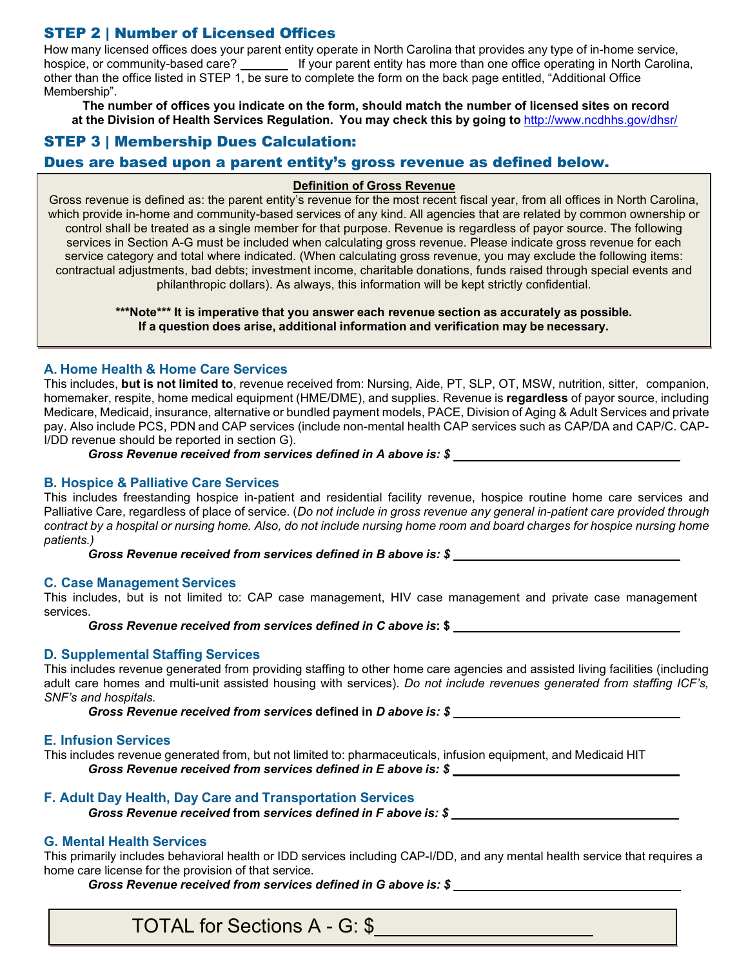# STEP 2 | Number of Licensed Offices

How many licensed offices does your parent entity operate in North Carolina that provides any type of in-home service, hospice, or community-based care? If your parent entity has more than one office operating in North Carolina, other than the office listed in STEP 1, be sure to complete the form on the back page entitled, "Additional Office Membership".

**The number of offices you indicate on the form, should match the number of licensed sites on record at the Division of Health Services Regulation. You may check this by going to** <http://www.ncdhhs.gov/dhsr/>

## STEP 3 | Membership Dues Calculation:

### Dues are based upon a parent entity's gross revenue as defined below.

#### **Definition of Gross Revenue**

Gross revenue is defined as: the parent entity's revenue for the most recent fiscal year, from all offices in North Carolina, which provide in-home and community-based services of any kind. All agencies that are related by common ownership or control shall be treated as a single member for that purpose. Revenue is regardless of payor source. The following services in Section A-G must be included when calculating gross revenue. Please indicate gross revenue for each service category and total where indicated. (When calculating gross revenue, you may exclude the following items: contractual adjustments, bad debts; investment income, charitable donations, funds raised through special events and philanthropic dollars). As always, this information will be kept strictly confidential.

> **\*\*\*Note\*\*\* It is imperative that you answer each revenue section as accurately as possible. If a question does arise, additional information and verification may be necessary.**

#### **A. Home Health & Home Care Services**

This includes, **but is not limited to**, revenue received from: Nursing, Aide, PT, SLP, OT, MSW, nutrition, sitter, companion, homemaker, respite, home medical equipment (HME/DME), and supplies. Revenue is **regardless** of payor source, including Medicare, Medicaid, insurance, alternative or bundled payment models, PACE, Division of Aging & Adult Services and private pay. Also include PCS, PDN and CAP services (include non-mental health CAP services such as CAP/DA and CAP/C. CAP-I/DD revenue should be reported in section G).

*Gross Revenue received from services defined in A above is: \$*

#### **B. Hospice & Palliative Care Services**

This includes freestanding hospice in-patient and residential facility revenue, hospice routine home care services and Palliative Care, regardless of place of service. (*Do not include in gross revenue any general in-patient care provided through contract by a hospital or nursing home. Also, do not include nursing home room and board charges for hospice nursing home patients.)*

*Gross Revenue received from services defined in B above is: \$*

#### **C. Case Management Services**

This includes, but is not limited to: CAP case management, HIV case management and private case management services.

*Gross Revenue received from services defined in C above is***: \$**

#### **D. Supplemental Staffing Services**

This includes revenue generated from providing staffing to other home care agencies and assisted living facilities (including adult care homes and multi-unit assisted housing with services). *Do not include revenues generated from staffing ICF's, SNF's and hospitals.*

*Gross Revenue received from services* **defined in** *D above is: \$*

#### **E. Infusion Services**

This includes revenue generated from, but not limited to: pharmaceuticals, infusion equipment, and Medicaid HIT *Gross Revenue received from services defined in E above is: \$*

#### **F. Adult Day Health, Day Care and Transportation Services**

*Gross Revenue received* **from** *services defined in F above is: \$*

#### **G. Mental Health Services**

This primarily includes behavioral health or IDD services including CAP-I/DD, and any mental health service that requires a home care license for the provision of that service.

*Gross Revenue received from services defined in G above is: \$*

TOTAL for Sections A - G: \$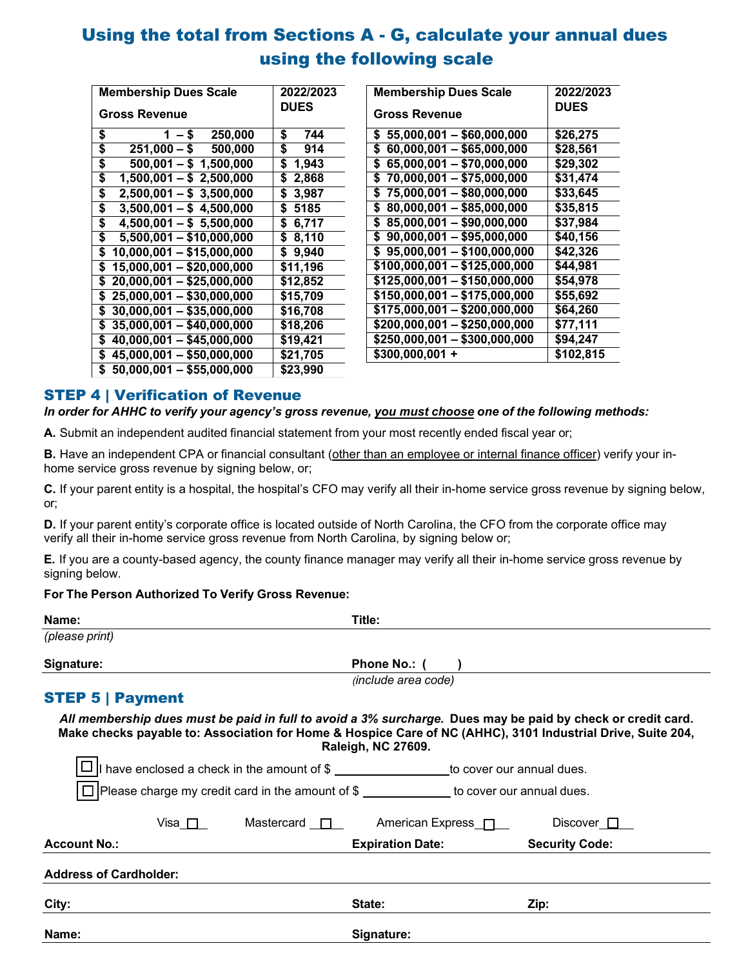# Using the total from Sections A - G, calculate your annual dues using the following scale

| <b>Membership Dues Scale</b>                | 2022/2023   |
|---------------------------------------------|-------------|
| <b>Gross Revenue</b>                        | <b>DUES</b> |
| \$<br>250,000<br>$1 - $$                    | \$<br>744   |
| \$<br>$251,000 - $$<br>500,000              | 914<br>\$   |
| \$<br>$500,001 - $1,500,000$                | \$<br>1,943 |
| \$<br>$1,500,001 - $2,500,000$              | \$<br>2,868 |
| \$<br>$2,500,001 - $3,500,000$              | \$<br>3,987 |
| \$<br>$3,500,001 - $4,500,000$              | \$ 5185     |
| \$<br>$4,500,001 - $5,500,000$              | 6,717<br>\$ |
| \$<br>$5,500,001 - $10,000,000$             | \$ 8,110    |
| \$<br>10,000,001 - \$15,000,000             | \$9,940     |
| 15,000,001 - \$20,000,000<br>\$             | \$11,196    |
| 20,000,001 - \$25,000,000<br>\$             | \$12,852    |
| $25,000,001 - $30,000,000$<br>\$            | \$15,709    |
| $30,000,001 - $35,000,000$<br>\$            | \$16,708    |
| $35,000,001 - $40,000,000$<br>\$            | \$18,206    |
| $\overline{40,000,001} - $45,000,000$<br>\$ | \$19,421    |
| 45,000,001 - \$50,000,000<br>\$             | \$21,705    |
| \$<br>$50,000,001 - $55,000,000$            | \$23,990    |

| <b>Membership Dues Scale</b>     | 2022/2023   |
|----------------------------------|-------------|
| <b>Gross Revenue</b>             | <b>DUES</b> |
|                                  |             |
| $$55,000,001 - $60,000,000$      | \$26,275    |
| $60,000,001 - $65,000,000$<br>\$ | \$28,561    |
| 65,000,001 - \$70,000,000<br>\$  | \$29,302    |
| $$70,000,001 - $75,000,000$      | \$31,474    |
| $$75,000,001 - $80,000,000$      | \$33,645    |
| $$80,000,001 - $85,000,000$      | \$35,815    |
| $$85,000,001 - $90,000,000$      | \$37,984    |
| $$90,000,001 - $95,000,000$      | \$40,156    |
| $$95,000,001 - $100,000,000$     | \$42,326    |
| \$100,000,001 - \$125,000,000    | \$44,981    |
| \$125,000,001 - \$150,000,000    | \$54,978    |
| $$150,000,001 - $175,000,000$    | \$55,692    |
| $$175,000,001 - $200,000,000$    | \$64,260    |
| \$200,000,001 - \$250,000,000    | \$77,111    |
| \$250,000,001 - \$300,000,000    | \$94,247    |
| $$300,000,001 +$                 | \$102,815   |
|                                  |             |

# STEP 4 | Verification of Revenue

#### In order for AHHC to verify your agency's gross revenue, you must choose one of the following methods:

**A.** Submit an independent audited financial statement from your most recently ended fiscal year or;

**B.** Have an independent CPA or financial consultant (other than an employee or internal finance officer) verify your inhome service gross revenue by signing below, or;

**C.** If your parent entity is a hospital, the hospital's CFO may verify all their in-home service gross revenue by signing below, or;

**D.** If your parent entity's corporate office is located outside of North Carolina, the CFO from the corporate office may verify all their in-home service gross revenue from North Carolina, by signing below or;

**E.** If you are a county-based agency, the county finance manager may verify all their in-home service gross revenue by signing below.

#### **For The Person Authorized To Verify Gross Revenue:**

| Name:                   | Title:                                                                                    |                            |                                                                                                                                                                                                                            |
|-------------------------|-------------------------------------------------------------------------------------------|----------------------------|----------------------------------------------------------------------------------------------------------------------------------------------------------------------------------------------------------------------------|
| (please print)          |                                                                                           |                            |                                                                                                                                                                                                                            |
| Signature:              |                                                                                           | Phone No.: (               |                                                                                                                                                                                                                            |
|                         |                                                                                           | <i>(include area code)</i> |                                                                                                                                                                                                                            |
| <b>STEP 5   Payment</b> |                                                                                           |                            |                                                                                                                                                                                                                            |
|                         |                                                                                           | Raleigh, NC 27609.         | All membership dues must be paid in full to avoid a 3% surcharge. Dues may be paid by check or credit card.<br>Make checks payable to: Association for Home & Hospice Care of NC (AHHC), 3101 Industrial Drive, Suite 204, |
|                         | $\Box$   have enclosed a check in the amount of \$ to cover our annual dues.              |                            |                                                                                                                                                                                                                            |
|                         | □ Please charge my credit card in the amount of \$ ____________ to cover our annual dues. |                            |                                                                                                                                                                                                                            |
| Visa Π                  | Mastercard $\Box$                                                                         | American Express $\Box$    | Discover $\Box$                                                                                                                                                                                                            |
| Account No.             |                                                                                           | Evniration Dato:           | <b>Contritu Code:</b>                                                                                                                                                                                                      |

| <b>Account No.:</b>           | <b>Expiration Date:</b> | <b>Security Code:</b> |  |
|-------------------------------|-------------------------|-----------------------|--|
| <b>Address of Cardholder:</b> |                         |                       |  |
| City:                         | State:                  | Zip:                  |  |
| Name:                         | Signature:              |                       |  |